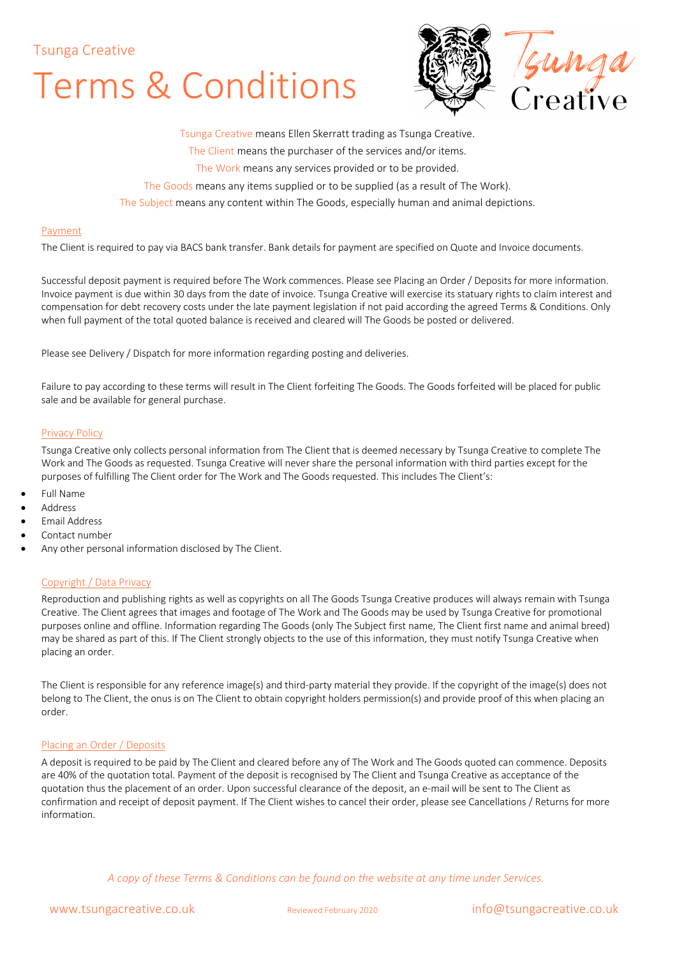# Terms & Conditions



Tsunga Creative means Ellen Skerratt trading as Tsunga Creative. The Client means the purchaser of the services and/or items.

The Work means any services provided or to be provided.

The Goods means any items supplied or to be supplied (as a result of The Work).

The Subject means any content within The Goods, especially human and animal depictions.

#### Payment

The Client is required to pay via BACS bank transfer. Bank details for payment are specified on Quote and Invoice documents.

Successful deposit payment is required before The Work commences. Please see Placing an Order / Deposits for more information. Invoice payment is due within 30 days from the date of invoice. Tsunga Creative will exercise its statuary rights to claim interest and compensation for debt recovery costs under the late payment legislation if not paid according the agreed Terms & Conditions. Only when full payment of the total quoted balance is received and cleared will The Goods be posted or delivered.

Please see Delivery / Dispatch for more information regarding posting and deliveries.

Failure to pay according to these terms will result in The Client forfeiting The Goods. The Goods forfeited will be placed for public sale and be available for general purchase.

#### Privacy Policy

Tsunga Creative only collects personal information from The Client that is deemed necessary by Tsunga Creative to complete The Work and The Goods as requested. Tsunga Creative will never share the personal information with third parties except for the purposes of fulfilling The Client order for The Work and The Goods requested. This includes The Client's:

- Full Name
- Address
- Email Address
- Contact number
	- Any other personal information disclosed by The Client.

#### Copyright / Data Privacy

Reproduction and publishing rights as well as copyrights on all The Goods Tsunga Creative produces will always remain with Tsunga Creative. The Client agrees that images and footage of The Work and The Goods may be used by Tsunga Creative for promotional purposes online and offline. Information regarding The Goods (only The Subject first name, The Client first name and animal breed) may be shared as part of this. If The Client strongly objects to the use of this information, they must notify Tsunga Creative when placing an order.

The Client is responsible for any reference image(s) and third-party material they provide. If the copyright of the image(s) does not belong to The Client, the onus is on The Client to obtain copyright holders permission(s) and provide proof of this when placing an order.

#### Placing an Order / Deposits

A deposit is required to be paid by The Client and cleared before any of The Work and The Goods quoted can commence. Deposits are 40% of the quotation total. Payment of the deposit is recognised by The Client and Tsunga Creative as acceptance of the quotation thus the placement of an order. Upon successful clearance of the deposit, an e-mail will be sent to The Client as confirmation and receipt of deposit payment. If The Client wishes to cancel their order, please see Cancellations / Returns for more information.

*A copy of these Terms & Conditions can be found on the website at any time under Services.*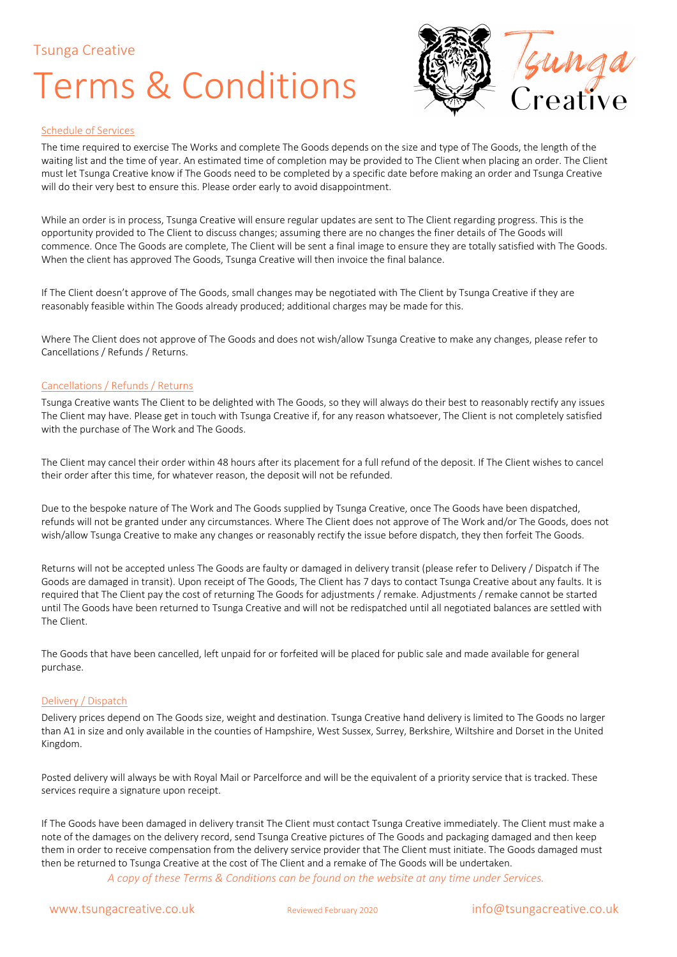### Terms & Conditions



#### Schedule of Services

The time required to exercise The Works and complete The Goods depends on the size and type of The Goods, the length of the waiting list and the time of year. An estimated time of completion may be provided to The Client when placing an order. The Client must let Tsunga Creative know if The Goods need to be completed by a specific date before making an order and Tsunga Creative will do their very best to ensure this. Please order early to avoid disappointment.

While an order is in process, Tsunga Creative will ensure regular updates are sent to The Client regarding progress. This is the opportunity provided to The Client to discuss changes; assuming there are no changes the finer details of The Goods will commence. Once The Goods are complete, The Client will be sent a final image to ensure they are totally satisfied with The Goods. When the client has approved The Goods, Tsunga Creative will then invoice the final balance.

If The Client doesn't approve of The Goods, small changes may be negotiated with The Client by Tsunga Creative if they are reasonably feasible within The Goods already produced; additional charges may be made for this.

Where The Client does not approve of The Goods and does not wish/allow Tsunga Creative to make any changes, please refer to Cancellations / Refunds / Returns.

#### Cancellations / Refunds / Returns

Tsunga Creative wants The Client to be delighted with The Goods, so they will always do their best to reasonably rectify any issues The Client may have. Please get in touch with Tsunga Creative if, for any reason whatsoever, The Client is not completely satisfied with the purchase of The Work and The Goods.

The Client may cancel their order within 48 hours after its placement for a full refund of the deposit. If The Client wishes to cancel their order after this time, for whatever reason, the deposit will not be refunded.

Due to the bespoke nature of The Work and The Goods supplied by Tsunga Creative, once The Goods have been dispatched, refunds will not be granted under any circumstances. Where The Client does not approve of The Work and/or The Goods, does not wish/allow Tsunga Creative to make any changes or reasonably rectify the issue before dispatch, they then forfeit The Goods.

Returns will not be accepted unless The Goods are faulty or damaged in delivery transit (please refer to Delivery / Dispatch if The Goods are damaged in transit). Upon receipt of The Goods, The Client has 7 days to contact Tsunga Creative about any faults. It is required that The Client pay the cost of returning The Goods for adjustments / remake. Adjustments / remake cannot be started until The Goods have been returned to Tsunga Creative and will not be redispatched until all negotiated balances are settled with The Client.

The Goods that have been cancelled, left unpaid for or forfeited will be placed for public sale and made available for general purchase.

#### Delivery / Dispatch

Delivery prices depend on The Goods size, weight and destination. Tsunga Creative hand delivery is limited to The Goods no larger than A1 in size and only available in the counties of Hampshire, West Sussex, Surrey, Berkshire, Wiltshire and Dorset in the United Kingdom.

Posted delivery will always be with Royal Mail or Parcelforce and will be the equivalent of a priority service that is tracked. These services require a signature upon receipt.

If The Goods have been damaged in delivery transit The Client must contact Tsunga Creative immediately. The Client must make a note of the damages on the delivery record, send Tsunga Creative pictures of The Goods and packaging damaged and then keep them in order to receive compensation from the delivery service provider that The Client must initiate. The Goods damaged must then be returned to Tsunga Creative at the cost of The Client and a remake of The Goods will be undertaken.

*A copy of these Terms & Conditions can be found on the website at any time under Services.*